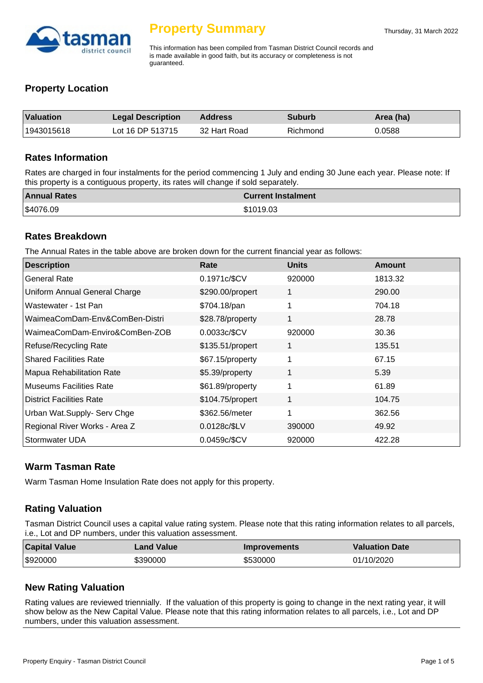

This information has been compiled from Tasman District Council records and is made available in good faith, but its accuracy or completeness is not guaranteed.

# **Property Location**

| Valuation  | <b>Legal Description</b> | <b>Address</b> | <b>Suburb</b> | Area (ha) |
|------------|--------------------------|----------------|---------------|-----------|
| 1943015618 | Lot 16 DP 513715         | 32 Hart Road   | Richmond      | 0.0588    |

#### **Rates Information**

Rates are charged in four instalments for the period commencing 1 July and ending 30 June each year. Please note: If this property is a contiguous property, its rates will change if sold separately.

| <b>Annual Rates</b> | <b>Current Instalment</b> |
|---------------------|---------------------------|
| \$4076.09           | \$1019.03                 |

#### **Rates Breakdown**

The Annual Rates in the table above are broken down for the current financial year as follows:

| <b>Description</b>              | Rate             | <b>Units</b> | <b>Amount</b> |
|---------------------------------|------------------|--------------|---------------|
| <b>General Rate</b>             | 0.1971c/\$CV     | 920000       | 1813.32       |
| Uniform Annual General Charge   | \$290.00/propert | 1            | 290.00        |
| Wastewater - 1st Pan            | \$704.18/pan     | 1            | 704.18        |
| WaimeaComDam-Env&ComBen-Distri  | \$28.78/property | 1            | 28.78         |
| WaimeaComDam-Enviro&ComBen-ZOB  | 0.0033c/\$CV     | 920000       | 30.36         |
| Refuse/Recycling Rate           | \$135.51/propert | 1            | 135.51        |
| <b>Shared Facilities Rate</b>   | \$67.15/property | 1            | 67.15         |
| Mapua Rehabilitation Rate       | \$5.39/property  | 1            | 5.39          |
| <b>Museums Facilities Rate</b>  | \$61.89/property | 1            | 61.89         |
| <b>District Facilities Rate</b> | \$104.75/propert | 1            | 104.75        |
| Urban Wat.Supply- Serv Chge     | \$362.56/meter   | 1            | 362.56        |
| Regional River Works - Area Z   | 0.0128c/\$LV     | 390000       | 49.92         |
| Stormwater UDA                  | 0.0459c/\$CV     | 920000       | 422.28        |

# **Warm Tasman Rate**

Warm Tasman Home Insulation Rate does not apply for this property.

# **Rating Valuation**

Tasman District Council uses a capital value rating system. Please note that this rating information relates to all parcels, i.e., Lot and DP numbers, under this valuation assessment.

| <b>Capital Value</b> | Land Value | <b>Improvements</b> | <b>Valuation Date</b> |
|----------------------|------------|---------------------|-----------------------|
| \$920000             | \$390000   | \$530000            | 01/10/2020            |

# **New Rating Valuation**

Rating values are reviewed triennially. If the valuation of this property is going to change in the next rating year, it will show below as the New Capital Value. Please note that this rating information relates to all parcels, i.e., Lot and DP numbers, under this valuation assessment.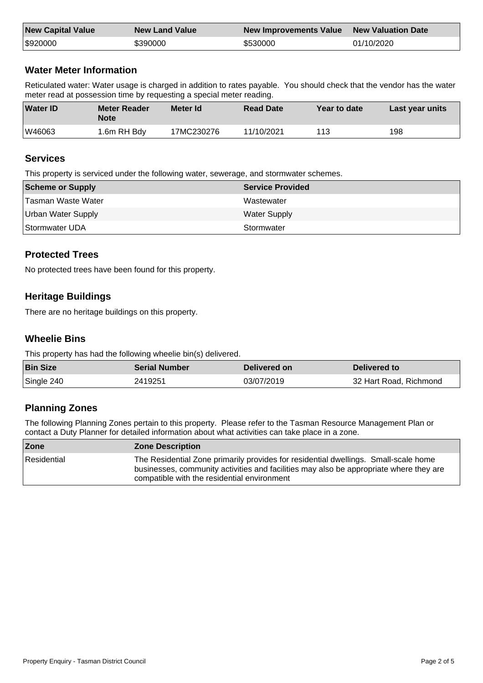| <b>New Capital Value</b> | <b>New Land Value</b> | New Improvements Value New Valuation Date |            |
|--------------------------|-----------------------|-------------------------------------------|------------|
| \$920000                 | \$390000              | \$530000                                  | 01/10/2020 |

# **Water Meter Information**

Reticulated water: Water usage is charged in addition to rates payable. You should check that the vendor has the water meter read at possession time by requesting a special meter reading.

| <b>Water ID</b> | <b>Meter Reader</b><br><b>Note</b> | Meter Id   | <b>Read Date</b> | Year to date | Last year units |
|-----------------|------------------------------------|------------|------------------|--------------|-----------------|
| W46063          | 1.6m RH Bdy                        | 17MC230276 | 11/10/2021       | 113          | 198             |

#### **Services**

This property is serviced under the following water, sewerage, and stormwater schemes.

| Scheme or Supply   | <b>Service Provided</b> |
|--------------------|-------------------------|
| Tasman Waste Water | Wastewater              |
| Urban Water Supply | <b>Water Supply</b>     |
| Stormwater UDA     | Stormwater              |

# **Protected Trees**

No protected trees have been found for this property.

# **Heritage Buildings**

There are no heritage buildings on this property.

# **Wheelie Bins**

This property has had the following wheelie bin(s) delivered.

| <b>Bin Size</b> | <b>Serial Number</b> | Delivered on | Delivered to           |
|-----------------|----------------------|--------------|------------------------|
| Single 240      | 2419251              | 03/07/2019   | 32 Hart Road, Richmond |

# **Planning Zones**

The following Planning Zones pertain to this property. Please refer to the Tasman Resource Management Plan or contact a Duty Planner for detailed information about what activities can take place in a zone.

| <b>Zone</b> | <b>Zone Description</b>                                                                                                                                                                                                      |
|-------------|------------------------------------------------------------------------------------------------------------------------------------------------------------------------------------------------------------------------------|
| Residential | The Residential Zone primarily provides for residential dwellings. Small-scale home<br>businesses, community activities and facilities may also be appropriate where they are<br>compatible with the residential environment |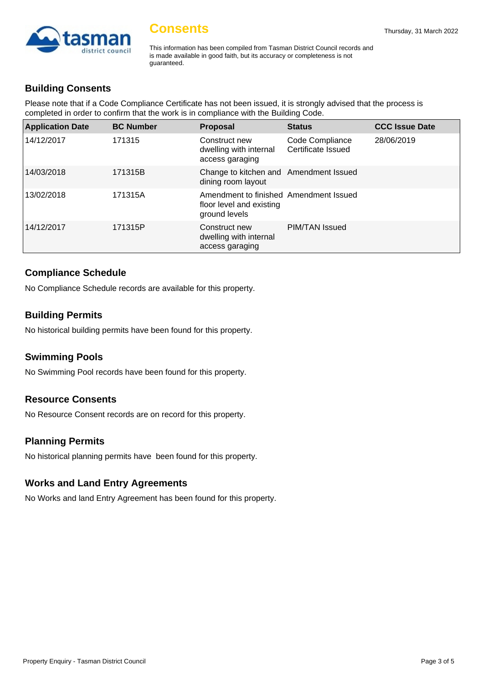

This information has been compiled from Tasman District Council records and is made available in good faith, but its accuracy or completeness is not guaranteed.

# **Building Consents**

Please note that if a Code Compliance Certificate has not been issued, it is strongly advised that the process is completed in order to confirm that the work is in compliance with the Building Code.

| <b>Application Date</b> | <b>BC Number</b> | <b>Proposal</b>                                                                     | <b>Status</b>                         | <b>CCC Issue Date</b> |
|-------------------------|------------------|-------------------------------------------------------------------------------------|---------------------------------------|-----------------------|
| 14/12/2017              | 171315           | Construct new<br>dwelling with internal<br>access garaging                          | Code Compliance<br>Certificate Issued | 28/06/2019            |
| 14/03/2018              | 171315B          | Change to kitchen and Amendment Issued<br>dining room layout                        |                                       |                       |
| 13/02/2018              | 171315A          | Amendment to finished Amendment Issued<br>floor level and existing<br>ground levels |                                       |                       |
| 14/12/2017              | 171315P          | Construct new<br>dwelling with internal<br>access garaging                          | PIM/TAN Issued                        |                       |

# **Compliance Schedule**

No Compliance Schedule records are available for this property.

# **Building Permits**

No historical building permits have been found for this property.

#### **Swimming Pools**

No Swimming Pool records have been found for this property.

#### **Resource Consents**

No Resource Consent records are on record for this property.

#### **Planning Permits**

No historical planning permits have been found for this property.

#### **Works and Land Entry Agreements**

No Works and land Entry Agreement has been found for this property.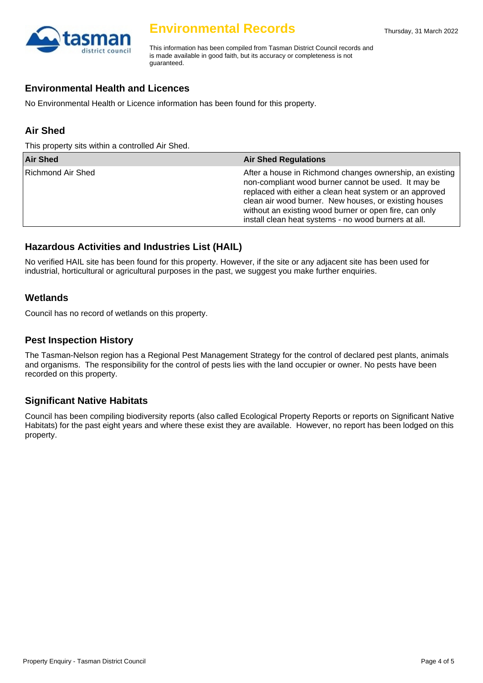

# **Environmental Records**

This information has been compiled from Tasman District Council records and is made available in good faith, but its accuracy or completeness is not guaranteed.

# **Environmental Health and Licences**

No Environmental Health or Licence information has been found for this property.

# **Air Shed**

This property sits within a controlled Air Shed.

| <b>Air Shed</b>   | <b>Air Shed Regulations</b>                                                                                                                                                                                                                                                                                                                             |
|-------------------|---------------------------------------------------------------------------------------------------------------------------------------------------------------------------------------------------------------------------------------------------------------------------------------------------------------------------------------------------------|
| Richmond Air Shed | After a house in Richmond changes ownership, an existing  <br>non-compliant wood burner cannot be used. It may be<br>replaced with either a clean heat system or an approved<br>clean air wood burner. New houses, or existing houses<br>without an existing wood burner or open fire, can only<br>install clean heat systems - no wood burners at all. |

# **Hazardous Activities and Industries List (HAIL)**

No verified HAIL site has been found for this property. However, if the site or any adjacent site has been used for industrial, horticultural or agricultural purposes in the past, we suggest you make further enquiries.

#### **Wetlands**

Council has no record of wetlands on this property.

#### **Pest Inspection History**

The Tasman-Nelson region has a Regional Pest Management Strategy for the control of declared pest plants, animals and organisms. The responsibility for the control of pests lies with the land occupier or owner. No pests have been recorded on this property.

#### **Significant Native Habitats**

Council has been compiling biodiversity reports (also called Ecological Property Reports or reports on Significant Native Habitats) for the past eight years and where these exist they are available. However, no report has been lodged on this property.